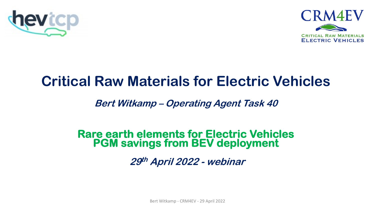



# **Critical Raw Materials for Electric Vehicles**

#### **Bert Witkamp – Operating Agent Task 40**

# **Rare earth elements for Electric Vehicles PGM savings from BEV deployment**

**29th April 2022 - webinar**

Bert Witkamp - CRM4EV - 29 April 2022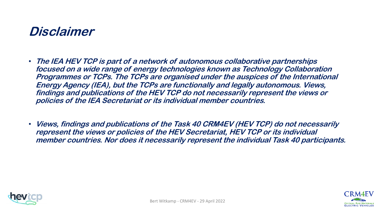### **Disclaimer**

- **The IEA HEV TCP is part of a network of autonomous collaborative partnerships focused on a wide range of energy technologies known as Technology Collaboration Programmes or TCPs. The TCPs are organised under the auspices of the International Energy Agency (IEA), but the TCPs are functionally and legally autonomous. Views, findings and publications of the HEV TCP do not necessarily represent the views or policies of the IEA Secretariat or its individual member countries.**
- **Views, findings and publications of the Task 40 CRM4EV (HEV TCP) do not necessarily represent the views or policies of the HEV Secretariat, HEV TCP or its individual member countries. Nor does it necessarily represent the individual Task 40 participants.**



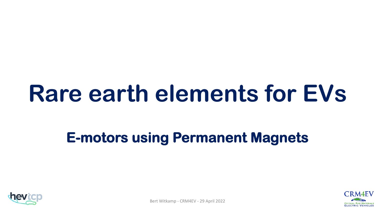# **Rare earth elements for EVs**

# **E-motors using Permanent Magnets**





Bert Witkamp - CRM4EV - 29 April 2022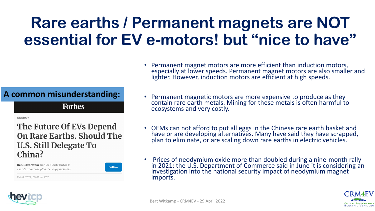# **Rare earths / Permanent magnets are NOT essential for EV e-motors! but "nice to have"**

#### **A common misunderstanding:**

**Forbes** 

**ENERGY** 

#### The Future Of EVs Depend On Rare Earths, Should The U.S. Still Delegate To China?

Ken Silverstein Senior Contributor @ I write about the global energy business. **Follow** 

Feb 6, 2022, 05:00pm EST

- Permanent magnet motors are more efficient than induction motors, especially at lower speeds. Permanent magnet motors are also smaller and lighter. However, induction motors are efficient at high speeds.
- Permanent magnetic motors are more expensive to produce as they contain rare earth metals. Mining for these metals is often harmful to ecosystems and very costly.
- OEMs can not afford to put all eggs in the Chinese rare earth basket and have or are developing alternatives. Many have said they have scrapped, plan to eliminate, or are scaling down rare earths in electric vehicles.
- Prices of neodymium oxide more than doubled during a nine-month rally in 2021; the U.S. Department of Commerce said in June it is considering an investigation into the national security impact of neodymium magnet imports.



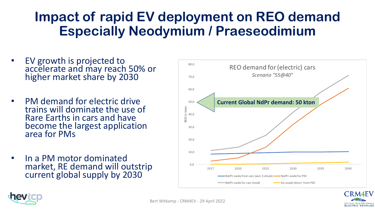### **Impact of rapid EV deployment on REO demand Especially Neodymium / Praeseodimium**

- EV growth is projected to accelerate and may reach 50% or higher market share by 2030
- PM demand for electric drive trains will dominate the use of Rare Earths in cars and have become the largest application area for PMs
- In a PM motor dominated market, RE demand will outstrip current global supply by 2030



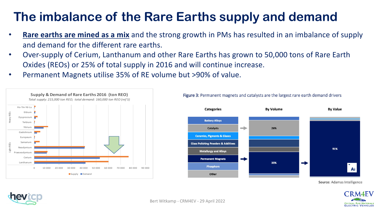### **The imbalance of the Rare Earths supply and demand**

- **Rare earths are mined as a mix** and the strong growth in PMs has resulted in an imbalance of supply and demand for the different rare earths.
- Over-supply of Cerium, Lanthanum and other Rare Earths has grown to 50,000 tons of Rare Earth Oxides (REOs) or 25% of total supply in 2016 and will continue increase.
- Permanent Magnets utilise 35% of RE volume but >90% of value.





Figure 3: Permanent magnets and catalysts are the largest rare earth demand drivers

**LECTRIC VEHICLES** 

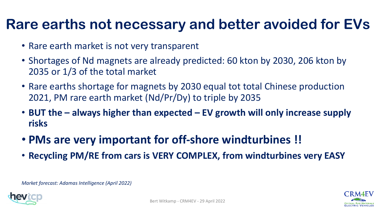# **Rare earths not necessary and better avoided for EVs**

- Rare earth market is not very transparent
- Shortages of Nd magnets are already predicted: 60 kton by 2030, 206 kton by 2035 or 1/3 of the total market
- Rare earths shortage for magnets by 2030 equal tot total Chinese production 2021, PM rare earth market (Nd/Pr/Dy) to triple by 2035
- **BUT the – always higher than expected – EV growth will only increase supply risks**
- **PMs are very important for off-shore windturbines !!**
- **Recycling PM/RE from cars is VERY COMPLEX, from windturbines very EASY**

*Market forecast: Adamas Intelligence (April 2022)*



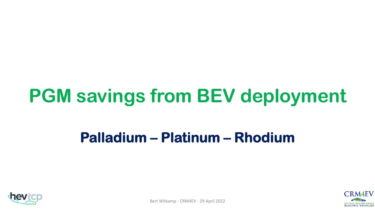# **PGM savings from BEV deployment**

# **Palladium – Platinum – Rhodium**





Bert Witkamp - CRM4EV - 29 April 2022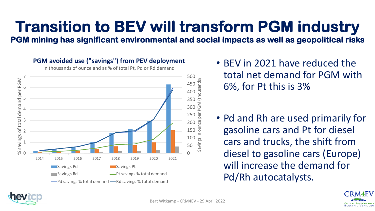# **Transition to BEV will transform PGM industry**

**PGM mining has significant environmental and social impacts as well as geopolitical risks**

#### **PGM avoided use ("savings") from PEV deployment** In thousands of ounce and as % of total Pt, Pd or Rd demand 500 7 savings of total demand per PGM % savings of total demand per PGM Savings in ounce per PGM (thousands) ousands 450 6 400  $(t)$ 5 350 PGM 300 4 250 ber 3 200 oun 150 2 100 1 50  $\geqslant$ 0 0 2014 2015 2016 2017 2018 2019 2020 2021 **Savings Pd** Savings Pt **Savings Rd** Pt savings % total demand -Pd savings % total demand -Rd savings % total demand

- BEV in 2021 have reduced the total net demand for PGM with 6%, for Pt this is 3%
- Pd and Rh are used primarily for gasoline cars and Pt for diesel cars and trucks, the shift from diesel to gasoline cars (Europe) will increase the demand for Pd/Rh autocatalysts.